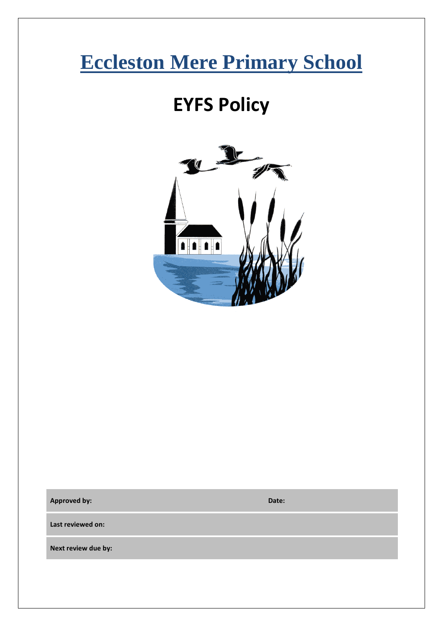# **Eccleston Mere Primary School**

## **EYFS Policy**



**Approved by: Date:**

**Last reviewed on:**

**Next review due by:**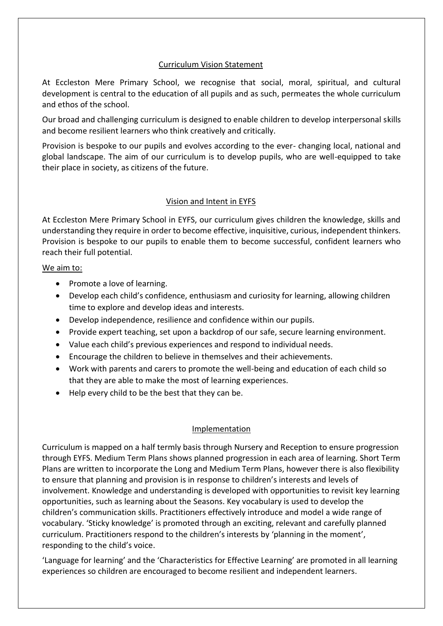#### Curriculum Vision Statement

At Eccleston Mere Primary School, we recognise that social, moral, spiritual, and cultural development is central to the education of all pupils and as such, permeates the whole curriculum and ethos of the school.

Our broad and challenging curriculum is designed to enable children to develop interpersonal skills and become resilient learners who think creatively and critically.

Provision is bespoke to our pupils and evolves according to the ever- changing local, national and global landscape. The aim of our curriculum is to develop pupils, who are well-equipped to take their place in society, as citizens of the future.

## Vision and Intent in EYFS

At Eccleston Mere Primary School in EYFS, our curriculum gives children the knowledge, skills and understanding they require in order to become effective, inquisitive, curious, independent thinkers. Provision is bespoke to our pupils to enable them to become successful, confident learners who reach their full potential.

#### We aim to:

- Promote a love of learning.
- Develop each child's confidence, enthusiasm and curiosity for learning, allowing children time to explore and develop ideas and interests.
- Develop independence, resilience and confidence within our pupils.
- Provide expert teaching, set upon a backdrop of our safe, secure learning environment.
- Value each child's previous experiences and respond to individual needs.
- Encourage the children to believe in themselves and their achievements.
- Work with parents and carers to promote the well-being and education of each child so that they are able to make the most of learning experiences.
- Help every child to be the best that they can be.

## Implementation

Curriculum is mapped on a half termly basis through Nursery and Reception to ensure progression through EYFS. Medium Term Plans shows planned progression in each area of learning. Short Term Plans are written to incorporate the Long and Medium Term Plans, however there is also flexibility to ensure that planning and provision is in response to children's interests and levels of involvement. Knowledge and understanding is developed with opportunities to revisit key learning opportunities, such as learning about the Seasons. Key vocabulary is used to develop the children's communication skills. Practitioners effectively introduce and model a wide range of vocabulary. 'Sticky knowledge' is promoted through an exciting, relevant and carefully planned curriculum. Practitioners respond to the children's interests by 'planning in the moment', responding to the child's voice.

'Language for learning' and the 'Characteristics for Effective Learning' are promoted in all learning experiences so children are encouraged to become resilient and independent learners.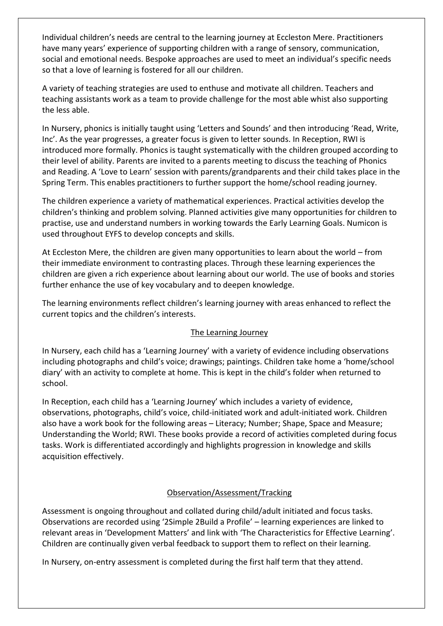Individual children's needs are central to the learning journey at Eccleston Mere. Practitioners have many years' experience of supporting children with a range of sensory, communication, social and emotional needs. Bespoke approaches are used to meet an individual's specific needs so that a love of learning is fostered for all our children.

A variety of teaching strategies are used to enthuse and motivate all children. Teachers and teaching assistants work as a team to provide challenge for the most able whist also supporting the less able.

In Nursery, phonics is initially taught using 'Letters and Sounds' and then introducing 'Read, Write, Inc'. As the year progresses, a greater focus is given to letter sounds. In Reception, RWI is introduced more formally. Phonics is taught systematically with the children grouped according to their level of ability. Parents are invited to a parents meeting to discuss the teaching of Phonics and Reading. A 'Love to Learn' session with parents/grandparents and their child takes place in the Spring Term. This enables practitioners to further support the home/school reading journey.

The children experience a variety of mathematical experiences. Practical activities develop the children's thinking and problem solving. Planned activities give many opportunities for children to practise, use and understand numbers in working towards the Early Learning Goals. Numicon is used throughout EYFS to develop concepts and skills.

At Eccleston Mere, the children are given many opportunities to learn about the world – from their immediate environment to contrasting places. Through these learning experiences the children are given a rich experience about learning about our world. The use of books and stories further enhance the use of key vocabulary and to deepen knowledge.

The learning environments reflect children's learning journey with areas enhanced to reflect the current topics and the children's interests.

## The Learning Journey

In Nursery, each child has a 'Learning Journey' with a variety of evidence including observations including photographs and child's voice; drawings; paintings. Children take home a 'home/school diary' with an activity to complete at home. This is kept in the child's folder when returned to school.

In Reception, each child has a 'Learning Journey' which includes a variety of evidence, observations, photographs, child's voice, child-initiated work and adult-initiated work. Children also have a work book for the following areas – Literacy; Number; Shape, Space and Measure; Understanding the World; RWI. These books provide a record of activities completed during focus tasks. Work is differentiated accordingly and highlights progression in knowledge and skills acquisition effectively.

## Observation/Assessment/Tracking

Assessment is ongoing throughout and collated during child/adult initiated and focus tasks. Observations are recorded using '2Simple 2Build a Profile' – learning experiences are linked to relevant areas in 'Development Matters' and link with 'The Characteristics for Effective Learning'. Children are continually given verbal feedback to support them to reflect on their learning.

In Nursery, on-entry assessment is completed during the first half term that they attend.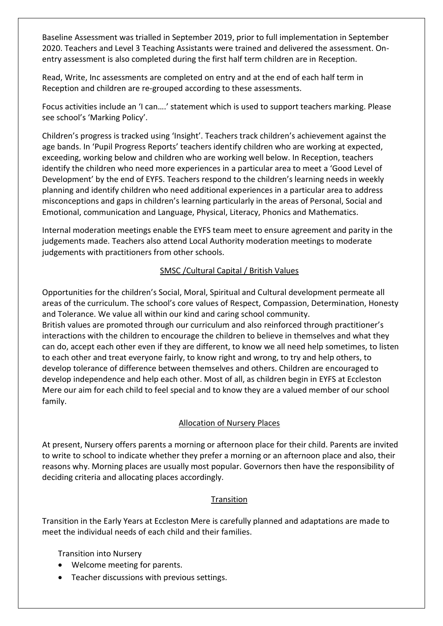Baseline Assessment was trialled in September 2019, prior to full implementation in September 2020. Teachers and Level 3 Teaching Assistants were trained and delivered the assessment. Onentry assessment is also completed during the first half term children are in Reception.

Read, Write, Inc assessments are completed on entry and at the end of each half term in Reception and children are re-grouped according to these assessments.

Focus activities include an 'I can….' statement which is used to support teachers marking. Please see school's 'Marking Policy'.

Children's progress is tracked using 'Insight'. Teachers track children's achievement against the age bands. In 'Pupil Progress Reports' teachers identify children who are working at expected, exceeding, working below and children who are working well below. In Reception, teachers identify the children who need more experiences in a particular area to meet a 'Good Level of Development' by the end of EYFS. Teachers respond to the children's learning needs in weekly planning and identify children who need additional experiences in a particular area to address misconceptions and gaps in children's learning particularly in the areas of Personal, Social and Emotional, communication and Language, Physical, Literacy, Phonics and Mathematics.

Internal moderation meetings enable the EYFS team meet to ensure agreement and parity in the judgements made. Teachers also attend Local Authority moderation meetings to moderate judgements with practitioners from other schools.

## SMSC /Cultural Capital / British Values

Opportunities for the children's Social, Moral, Spiritual and Cultural development permeate all areas of the curriculum. The school's core values of Respect, Compassion, Determination, Honesty and Tolerance. We value all within our kind and caring school community. British values are promoted through our curriculum and also reinforced through practitioner's interactions with the children to encourage the children to believe in themselves and what they can do, accept each other even if they are different, to know we all need help sometimes, to listen to each other and treat everyone fairly, to know right and wrong, to try and help others, to develop tolerance of difference between themselves and others. Children are encouraged to develop independence and help each other. Most of all, as children begin in EYFS at Eccleston Mere our aim for each child to feel special and to know they are a valued member of our school family.

## Allocation of Nursery Places

At present, Nursery offers parents a morning or afternoon place for their child. Parents are invited to write to school to indicate whether they prefer a morning or an afternoon place and also, their reasons why. Morning places are usually most popular. Governors then have the responsibility of deciding criteria and allocating places accordingly.

## **Transition**

Transition in the Early Years at Eccleston Mere is carefully planned and adaptations are made to meet the individual needs of each child and their families.

Transition into Nursery

- Welcome meeting for parents.
- Teacher discussions with previous settings.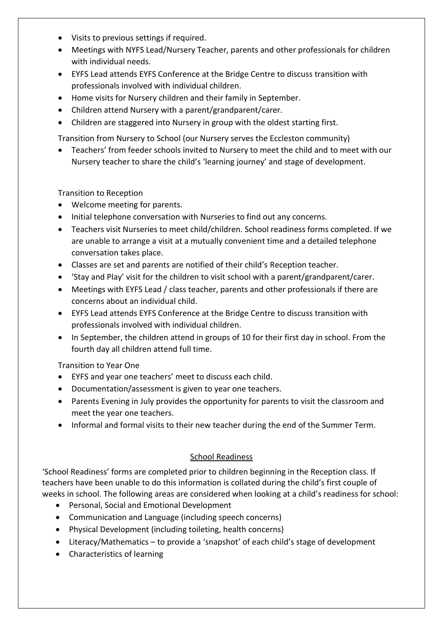- Visits to previous settings if required.
- Meetings with NYFS Lead/Nursery Teacher, parents and other professionals for children with individual needs.
- EYFS Lead attends EYFS Conference at the Bridge Centre to discuss transition with professionals involved with individual children.
- Home visits for Nursery children and their family in September.
- Children attend Nursery with a parent/grandparent/carer.
- Children are staggered into Nursery in group with the oldest starting first.

Transition from Nursery to School (our Nursery serves the Eccleston community)

• Teachers' from feeder schools invited to Nursery to meet the child and to meet with our Nursery teacher to share the child's 'learning journey' and stage of development.

Transition to Reception

- Welcome meeting for parents.
- Initial telephone conversation with Nurseries to find out any concerns.
- Teachers visit Nurseries to meet child/children. School readiness forms completed. If we are unable to arrange a visit at a mutually convenient time and a detailed telephone conversation takes place.
- Classes are set and parents are notified of their child's Reception teacher.
- 'Stay and Play' visit for the children to visit school with a parent/grandparent/carer.
- Meetings with EYFS Lead / class teacher, parents and other professionals if there are concerns about an individual child.
- EYFS Lead attends EYFS Conference at the Bridge Centre to discuss transition with professionals involved with individual children.
- In September, the children attend in groups of 10 for their first day in school. From the fourth day all children attend full time.

Transition to Year One

- EYFS and year one teachers' meet to discuss each child.
- Documentation/assessment is given to year one teachers.
- Parents Evening in July provides the opportunity for parents to visit the classroom and meet the year one teachers.
- Informal and formal visits to their new teacher during the end of the Summer Term.

## School Readiness

'School Readiness' forms are completed prior to children beginning in the Reception class. If teachers have been unable to do this information is collated during the child's first couple of weeks in school. The following areas are considered when looking at a child's readiness for school:

- Personal, Social and Emotional Development
- Communication and Language (including speech concerns)
- Physical Development (including toileting, health concerns)
- Literacy/Mathematics to provide a 'snapshot' of each child's stage of development
- Characteristics of learning